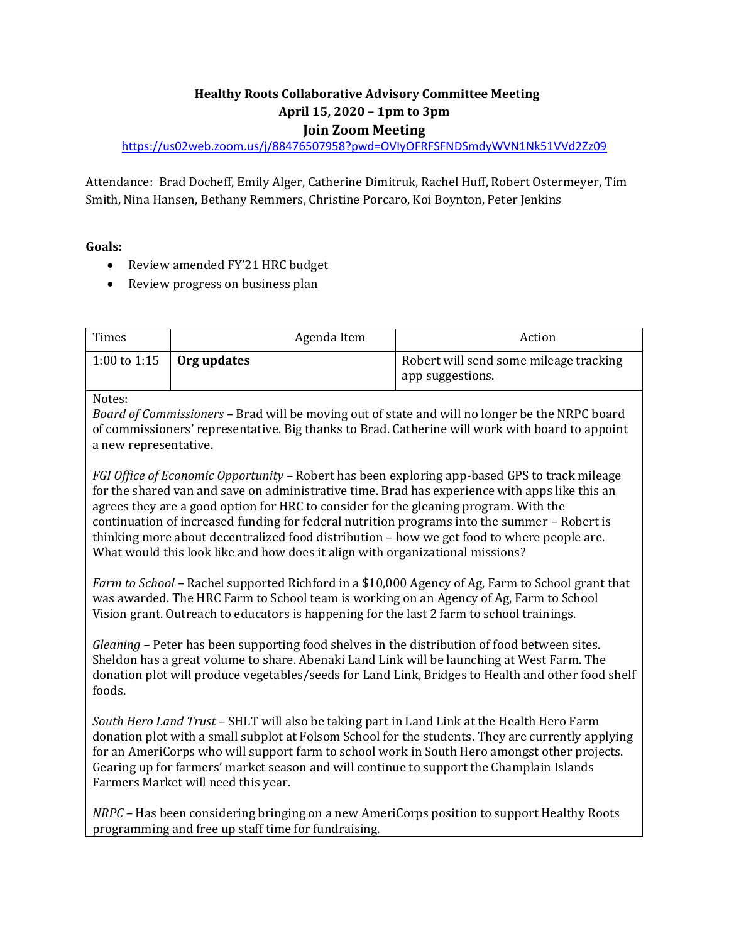## **Healthy Roots Collaborative Advisory Committee Meeting April 15, 2020 – 1pm to 3pm Join Zoom Meeting**

<https://us02web.zoom.us/j/88476507958?pwd=OVIyOFRFSFNDSmdyWVN1Nk51VVd2Zz09>

Attendance: Brad Docheff, Emily Alger, Catherine Dimitruk, Rachel Huff, Robert Ostermeyer, Tim Smith, Nina Hansen, Bethany Remmers, Christine Porcaro, Koi Boynton, Peter Jenkins

## **Goals:**

- Review amended FY'21 HRC budget
- Review progress on business plan

| Times |                                 | Agenda Item | Action                                                     |
|-------|---------------------------------|-------------|------------------------------------------------------------|
|       | 1:00 to 1:15 $\int$ Org updates |             | Robert will send some mileage tracking<br>app suggestions. |

## Notes:

*Board of Commissioners –* Brad will be moving out of state and will no longer be the NRPC board of commissioners' representative. Big thanks to Brad. Catherine will work with board to appoint a new representative.

*FGI Office of Economic Opportunity –* Robert has been exploring app-based GPS to track mileage for the shared van and save on administrative time. Brad has experience with apps like this an agrees they are a good option for HRC to consider for the gleaning program. With the continuation of increased funding for federal nutrition programs into the summer – Robert is thinking more about decentralized food distribution – how we get food to where people are. What would this look like and how does it align with organizational missions?

*Farm to School –* Rachel supported Richford in a \$10,000 Agency of Ag, Farm to School grant that was awarded. The HRC Farm to School team is working on an Agency of Ag, Farm to School Vision grant. Outreach to educators is happening for the last 2 farm to school trainings.

*Gleaning –* Peter has been supporting food shelves in the distribution of food between sites. Sheldon has a great volume to share. Abenaki Land Link will be launching at West Farm. The donation plot will produce vegetables/seeds for Land Link, Bridges to Health and other food shelf foods.

*South Hero Land Trust –* SHLT will also be taking part in Land Link at the Health Hero Farm donation plot with a small subplot at Folsom School for the students. They are currently applying for an AmeriCorps who will support farm to school work in South Hero amongst other projects. Gearing up for farmers' market season and will continue to support the Champlain Islands Farmers Market will need this year.

*NRPC –* Has been considering bringing on a new AmeriCorps position to support Healthy Roots programming and free up staff time for fundraising.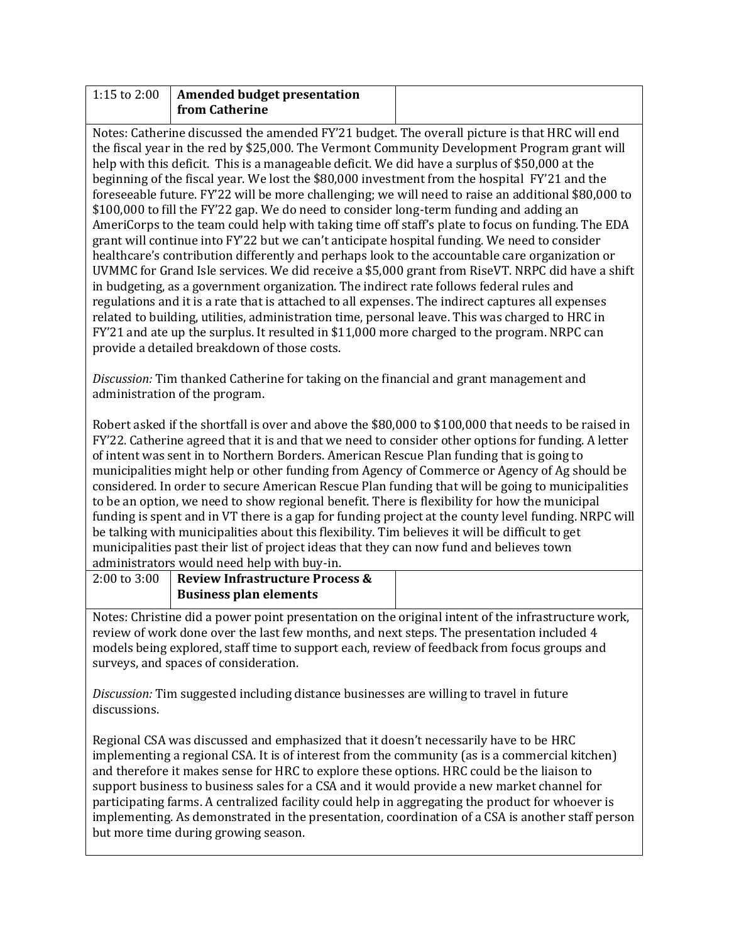| 1:15 to 2:00 $\parallel$ Amended budget presentation |  |
|------------------------------------------------------|--|
| from Catherine                                       |  |

Notes: Catherine discussed the amended FY'21 budget. The overall picture is that HRC will end the fiscal year in the red by \$25,000. The Vermont Community Development Program grant will help with this deficit. This is a manageable deficit. We did have a surplus of \$50,000 at the beginning of the fiscal year. We lost the \$80,000 investment from the hospital FY'21 and the foreseeable future. FY'22 will be more challenging; we will need to raise an additional \$80,000 to \$100,000 to fill the FY'22 gap. We do need to consider long-term funding and adding an AmeriCorps to the team could help with taking time off staff's plate to focus on funding. The EDA grant will continue into FY'22 but we can't anticipate hospital funding. We need to consider healthcare's contribution differently and perhaps look to the accountable care organization or UVMMC for Grand Isle services. We did receive a \$5,000 grant from RiseVT. NRPC did have a shift in budgeting, as a government organization. The indirect rate follows federal rules and regulations and it is a rate that is attached to all expenses. The indirect captures all expenses related to building, utilities, administration time, personal leave. This was charged to HRC in FY'21 and ate up the surplus. It resulted in \$11,000 more charged to the program. NRPC can provide a detailed breakdown of those costs.

*Discussion:* Tim thanked Catherine for taking on the financial and grant management and administration of the program.

Robert asked if the shortfall is over and above the \$80,000 to \$100,000 that needs to be raised in FY'22. Catherine agreed that it is and that we need to consider other options for funding. A letter of intent was sent in to Northern Borders. American Rescue Plan funding that is going to municipalities might help or other funding from Agency of Commerce or Agency of Ag should be considered. In order to secure American Rescue Plan funding that will be going to municipalities to be an option, we need to show regional benefit. There is flexibility for how the municipal funding is spent and in VT there is a gap for funding project at the county level funding. NRPC will be talking with municipalities about this flexibility. Tim believes it will be difficult to get municipalities past their list of project ideas that they can now fund and believes town administrators would need help with buy-in.

| 2:00 to 3:00   Review Infrastructure Process & |  |
|------------------------------------------------|--|
| <b>Business plan elements</b>                  |  |

Notes: Christine did a power point presentation on the original intent of the infrastructure work, review of work done over the last few months, and next steps. The presentation included 4 models being explored, staff time to support each, review of feedback from focus groups and surveys, and spaces of consideration.

*Discussion:* Tim suggested including distance businesses are willing to travel in future discussions.

Regional CSA was discussed and emphasized that it doesn't necessarily have to be HRC implementing a regional CSA. It is of interest from the community (as is a commercial kitchen) and therefore it makes sense for HRC to explore these options. HRC could be the liaison to support business to business sales for a CSA and it would provide a new market channel for participating farms. A centralized facility could help in aggregating the product for whoever is implementing. As demonstrated in the presentation, coordination of a CSA is another staff person but more time during growing season.